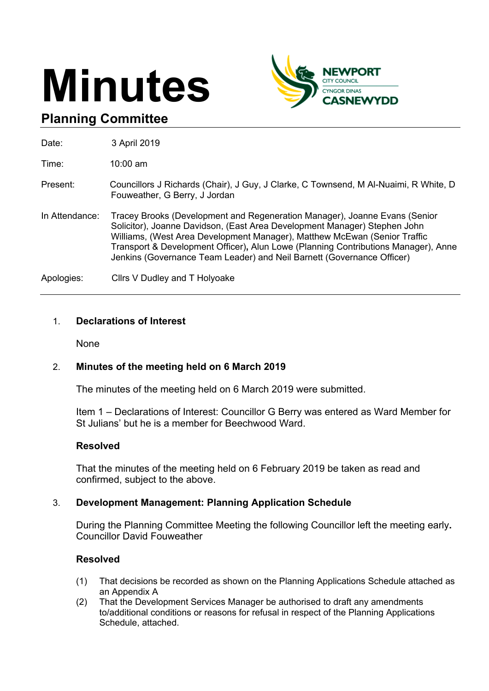# **Minutes**



## **Planning Committee**

| Date:          | 3 April 2019                                                                                                                                                                                                                                                                                                                                                                                         |
|----------------|------------------------------------------------------------------------------------------------------------------------------------------------------------------------------------------------------------------------------------------------------------------------------------------------------------------------------------------------------------------------------------------------------|
| Time:          | $10:00$ am                                                                                                                                                                                                                                                                                                                                                                                           |
| Present:       | Councillors J Richards (Chair), J Guy, J Clarke, C Townsend, M Al-Nuaimi, R White, D<br>Fouweather, G Berry, J Jordan                                                                                                                                                                                                                                                                                |
| In Attendance: | Tracey Brooks (Development and Regeneration Manager), Joanne Evans (Senior<br>Solicitor), Joanne Davidson, (East Area Development Manager) Stephen John<br>Williams, (West Area Development Manager), Matthew McEwan (Senior Traffic<br>Transport & Development Officer), Alun Lowe (Planning Contributions Manager), Anne<br>Jenkins (Governance Team Leader) and Neil Barnett (Governance Officer) |
| Apologies:     | Cllrs V Dudley and T Holyoake                                                                                                                                                                                                                                                                                                                                                                        |

#### 1. **Declarations of Interest**

None

#### 2. **Minutes of the meeting held on 6 March 2019**

The minutes of the meeting held on 6 March 2019 were submitted.

Item 1 – Declarations of Interest: Councillor G Berry was entered as Ward Member for St Julians' but he is a member for Beechwood Ward.

#### **Resolved**

That the minutes of the meeting held on 6 February 2019 be taken as read and confirmed, subject to the above.

#### 3. **Development Management: Planning Application Schedule**

During the Planning Committee Meeting the following Councillor left the meeting early**.** Councillor David Fouweather

#### **Resolved**

- (1) That decisions be recorded as shown on the Planning Applications Schedule attached as an Appendix A
- (2) That the Development Services Manager be authorised to draft any amendments to/additional conditions or reasons for refusal in respect of the Planning Applications Schedule, attached.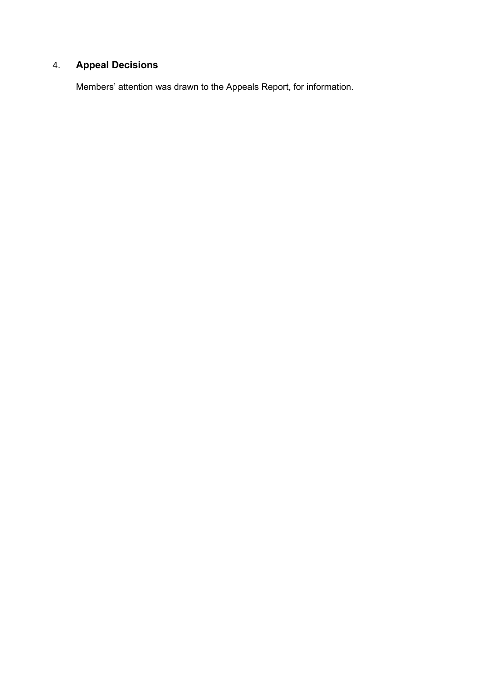## 4. **Appeal Decisions**

Members' attention was drawn to the Appeals Report, for information.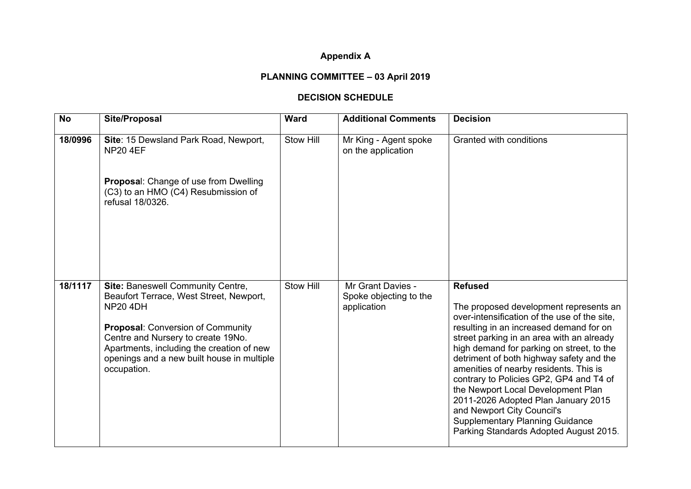#### **Appendix A**

### **PLANNING COMMITTEE – 03 April 2019**

#### **DECISION SCHEDULE**

| <b>No</b> | <b>Site/Proposal</b>                                                                                                                                                                                                                                                                        | <b>Ward</b> | <b>Additional Comments</b>                                 | <b>Decision</b>                                                                                                                                                                                                                                                                                                                                                                                                                                                                                                                                                               |
|-----------|---------------------------------------------------------------------------------------------------------------------------------------------------------------------------------------------------------------------------------------------------------------------------------------------|-------------|------------------------------------------------------------|-------------------------------------------------------------------------------------------------------------------------------------------------------------------------------------------------------------------------------------------------------------------------------------------------------------------------------------------------------------------------------------------------------------------------------------------------------------------------------------------------------------------------------------------------------------------------------|
| 18/0996   | Site: 15 Dewsland Park Road, Newport,<br><b>NP20 4EF</b>                                                                                                                                                                                                                                    | Stow Hill   | Mr King - Agent spoke<br>on the application                | Granted with conditions                                                                                                                                                                                                                                                                                                                                                                                                                                                                                                                                                       |
|           | Proposal: Change of use from Dwelling<br>(C3) to an HMO (C4) Resubmission of<br>refusal 18/0326.                                                                                                                                                                                            |             |                                                            |                                                                                                                                                                                                                                                                                                                                                                                                                                                                                                                                                                               |
| 18/1117   | Site: Baneswell Community Centre,<br>Beaufort Terrace, West Street, Newport,<br><b>NP20 4DH</b><br><b>Proposal: Conversion of Community</b><br>Centre and Nursery to create 19No.<br>Apartments, including the creation of new<br>openings and a new built house in multiple<br>occupation. | Stow Hill   | Mr Grant Davies -<br>Spoke objecting to the<br>application | <b>Refused</b><br>The proposed development represents an<br>over-intensification of the use of the site,<br>resulting in an increased demand for on<br>street parking in an area with an already<br>high demand for parking on street, to the<br>detriment of both highway safety and the<br>amenities of nearby residents. This is<br>contrary to Policies GP2, GP4 and T4 of<br>the Newport Local Development Plan<br>2011-2026 Adopted Plan January 2015<br>and Newport City Council's<br><b>Supplementary Planning Guidance</b><br>Parking Standards Adopted August 2015. |